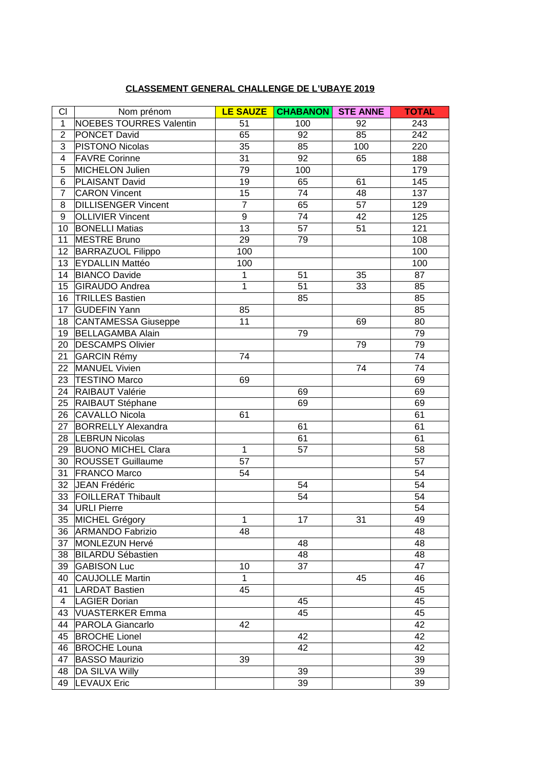## **CLASSEMENT GENERAL CHALLENGE DE L'UBAYE 2019**

| CI              | Nom prénom                     | <b>LE SAUZE</b> | <b>CHABANON</b> | <b>STE ANNE</b> | <b>TOTAL</b> |
|-----------------|--------------------------------|-----------------|-----------------|-----------------|--------------|
| $\mathbf{1}$    | <b>NOEBES TOURRES Valentin</b> | 51              | 100             | 92              | 243          |
| $\overline{2}$  | PONCET David                   | 65              | 92              | 85              | 242          |
| 3               | PISTONO Nicolas                | 35              | 85              | 100             | 220          |
| $\overline{4}$  | <b>FAVRE Corinne</b>           | 31              | 92              | 65              | 188          |
| 5               | MICHELON Julien                | 79              | 100             |                 | 179          |
| 6               | <b>PLAISANT David</b>          | 19              | 65              | 61              | 145          |
| $\overline{7}$  | <b>CARON Vincent</b>           | 15              | 74              | 48              | 137          |
| 8               | <b>DILLISENGER Vincent</b>     | $\overline{7}$  | 65              | 57              | 129          |
| 9               | <b>OLLIVIER Vincent</b>        | 9               | 74              | 42              | 125          |
| 10              | <b>BONELLI Matias</b>          | 13              | 57              | 51              | 121          |
| 11              | MESTRE Bruno                   | 29              | 79              |                 | 108          |
| 12 <sup>2</sup> | <b>BARRAZUOL Filippo</b>       | 100             |                 |                 | 100          |
| 13              | <b>EYDALLIN Mattéo</b>         | 100             |                 |                 | 100          |
| 14              | <b>BIANCO Davide</b>           | $\mathbf{1}$    | 51              | 35              | 87           |
| 15 <sup>1</sup> | GIRAUDO Andrea                 | $\mathbf{1}$    | 51              | 33              | 85           |
| $16\,$          | <b>TRILLES Bastien</b>         |                 | 85              |                 | 85           |
| 17              | <b>GUDEFIN Yann</b>            | 85              |                 |                 | 85           |
| 18              | CANTAMESSA Giuseppe            | 11              |                 | 69              | 80           |
| 19              | <b>BELLAGAMBA Alain</b>        |                 | 79              |                 | 79           |
| 20              | <b>DESCAMPS Olivier</b>        |                 |                 | 79              | 79           |
| 21              | GARCIN Rémy                    | 74              |                 |                 | 74           |
| 22              | MANUEL Vivien                  |                 |                 | 74              | 74           |
| 23              | <b>TESTINO Marco</b>           | 69              |                 |                 | 69           |
| 24              | RAIBAUT Valérie                |                 | 69              |                 | 69           |
| 25              | RAIBAUT Stéphane               |                 | 69              |                 | 69           |
| 26              | CAVALLO Nicola                 | 61              |                 |                 | 61           |
| 27              | <b>BORRELLY Alexandra</b>      |                 | 61              |                 | 61           |
| 28              | <b>LEBRUN Nicolas</b>          |                 | 61              |                 | 61           |
| 29              | <b>BUONO MICHEL Clara</b>      | $\mathbf{1}$    | 57              |                 | 58           |
| 30              | <b>ROUSSET Guillaume</b>       | 57              |                 |                 | 57           |
| 31              | <b>FRANCO Marco</b>            | 54              |                 |                 | 54           |
| 32              | JEAN Frédéric                  |                 | 54              |                 | 54           |
| 33              | FOILLERAT Thibault             |                 | 54              |                 | 54           |
| 34              | URLI Pierre                    |                 |                 |                 | 54           |
| 35              | MICHEL Grégory                 | $\mathbf{1}$    | 17              | 31              | 49           |
| 36              | <b>ARMANDO Fabrizio</b>        | 48              |                 |                 | 48           |
| 37              | MONLEZUN Hervé                 |                 | 48              |                 | 48           |
| 38              | <b>BILARDU Sébastien</b>       |                 | 48              |                 | 48           |
| 39              | <b>GABISON Luc</b>             | 10              | 37              |                 | 47           |
| 40              | <b>CAUJOLLE Martin</b>         | $\mathbf{1}$    |                 | 45              | 46           |
| 41              | LARDAT Bastien                 | 45              |                 |                 | 45           |
| $\overline{4}$  | <b>LAGIER Dorian</b>           |                 | 45              |                 | 45           |
| 43              | <b>VUASTERKER Emma</b>         |                 | 45              |                 | 45           |
| 44              | PAROLA Giancarlo               | 42              |                 |                 | 42           |
| 45              | <b>BROCHE Lionel</b>           |                 | 42              |                 | 42           |
| 46              | <b>BROCHE Louna</b>            |                 | 42              |                 | 42           |
| 47              | <b>BASSO Maurizio</b>          | 39              |                 |                 | 39           |
| 48              | DA SILVA Willy                 |                 | 39              |                 | 39           |
| 49              | <b>LEVAUX Eric</b>             |                 | 39              |                 | 39           |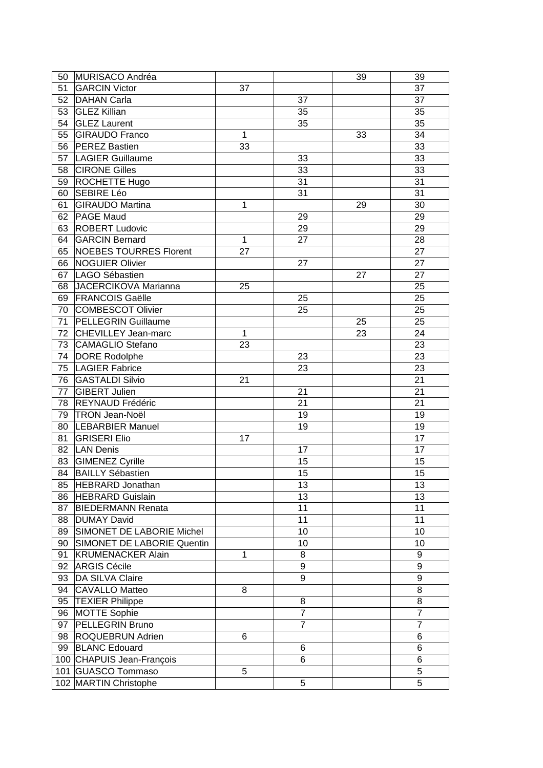| 50 | MURISACO Andréa            |              |                | 39 | 39             |
|----|----------------------------|--------------|----------------|----|----------------|
| 51 | <b>GARCIN Victor</b>       | 37           |                |    | 37             |
| 52 | DAHAN Carla                |              | 37             |    | 37             |
| 53 | <b>GLEZ Killian</b>        |              | 35             |    | 35             |
| 54 | <b>GLEZ Laurent</b>        |              | 35             |    | 35             |
| 55 | <b>GIRAUDO Franco</b>      | $\mathbf{1}$ |                | 33 | 34             |
| 56 | <b>PEREZ Bastien</b>       | 33           |                |    | 33             |
| 57 | <b>LAGIER Guillaume</b>    |              | 33             |    | 33             |
| 58 | <b>CIRONE Gilles</b>       |              | 33             |    | 33             |
| 59 | <b>ROCHETTE Hugo</b>       |              | 31             |    | 31             |
| 60 | SEBIRE Léo                 |              | 31             |    | 31             |
| 61 | <b>GIRAUDO Martina</b>     | $\mathbf{1}$ |                | 29 | 30             |
| 62 | <b>PAGE Maud</b>           |              | 29             |    | 29             |
| 63 | <b>ROBERT Ludovic</b>      |              | 29             |    | 29             |
| 64 | <b>GARCIN Bernard</b>      | $\mathbf{1}$ | 27             |    | 28             |
|    | NOEBES TOURRES Florent     | 27           |                |    | 27             |
| 65 |                            |              |                |    |                |
| 66 | NOGUIER Olivier            |              | 27             |    | 27             |
| 67 | LAGO Sébastien             |              |                | 27 | 27             |
| 68 | JACERCIKOVA Marianna       | 25           |                |    | 25             |
| 69 | <b>FRANCOIS Gaëlle</b>     |              | 25             |    | 25             |
| 70 | COMBESCOT Olivier          |              | 25             |    | 25             |
| 71 | <b>PELLEGRIN Guillaume</b> |              |                | 25 | 25             |
|    | 72 CHEVILLEY Jean-marc     | $\mathbf{1}$ |                | 23 | 24             |
| 73 | CAMAGLIO Stefano           | 23           |                |    | 23             |
| 74 | DORE Rodolphe              |              | 23             |    | 23             |
| 75 | <b>LAGIER Fabrice</b>      |              | 23             |    | 23             |
| 76 | <b>GASTALDI Silvio</b>     | 21           |                |    | 21             |
| 77 | GIBERT Julien              |              | 21             |    | 21             |
| 78 | REYNAUD Frédéric           |              | 21             |    | 21             |
| 79 | TRON Jean-Noël             |              | 19             |    | 19             |
| 80 | <b>LEBARBIER Manuel</b>    |              | 19             |    | 19             |
| 81 | <b>GRISERI Elio</b>        | 17           |                |    | 17             |
| 82 | LAN Denis                  |              | 17             |    | 17             |
| 83 | <b>GIMENEZ Cyrille</b>     |              | 15             |    | 15             |
| 84 | <b>BAILLY Sébastien</b>    |              | 15             |    | 15             |
| 85 | HEBRARD Jonathan           |              | 13             |    | 13             |
| 86 | <b>HEBRARD Guislain</b>    |              | 13             |    | 13             |
| 87 | <b>BIEDERMANN Renata</b>   |              | 11             |    | 11             |
| 88 | DUMAY David                |              | 11             |    | 11             |
| 89 | SIMONET DE LABORIE Michel  |              | 10             |    | 10             |
| 90 | SIMONET DE LABORIE Quentin |              | 10             |    | 10             |
| 91 | <b>KRUMENACKER Alain</b>   | $\mathbf{1}$ | 8              |    | 9              |
| 92 | ARGIS Cécile               |              | 9              |    | 9              |
| 93 | DA SILVA Claire            |              | 9              |    | 9              |
| 94 | CAVALLO Matteo             | 8            |                |    | 8              |
| 95 | <b>TEXIER Philippe</b>     |              | 8              |    | 8              |
| 96 | MOTTE Sophie               |              | $\overline{7}$ |    | $\overline{7}$ |
| 97 | PELLEGRIN Bruno            |              | $\overline{7}$ |    | $\overline{7}$ |
| 98 | <b>ROQUEBRUN Adrien</b>    | 6            |                |    | 6              |
| 99 | <b>BLANC Edouard</b>       |              |                |    | 6              |
|    | 100 CHAPUIS Jean-François  |              | 6<br>6         |    | 6              |
|    |                            | 5            |                |    | 5              |
|    | 101 GUASCO Tommaso         |              |                |    |                |
|    | 102 MARTIN Christophe      |              | 5              |    | 5              |